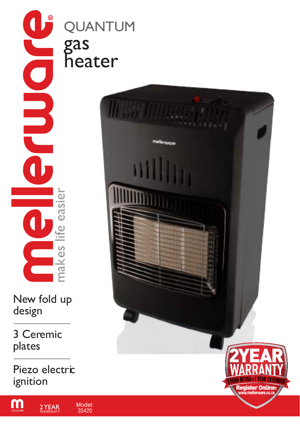COOL makes life easier ite easier  $\frac{S}{C}$ ma

New fold up design

3 Ceremic plates

Piezo electric ignition

 $2YEAR$ 

<u>m</u>

QUANTUM gas heater

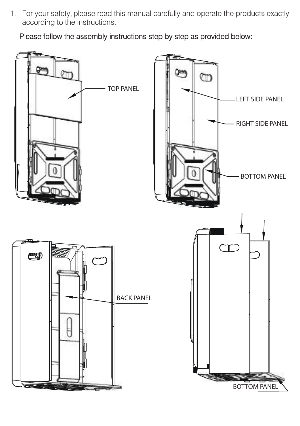1. For your safety, please read this manual carefully and operate the products exactly according to the instructions.

Please follow the assembly instructions step by step as provided below:

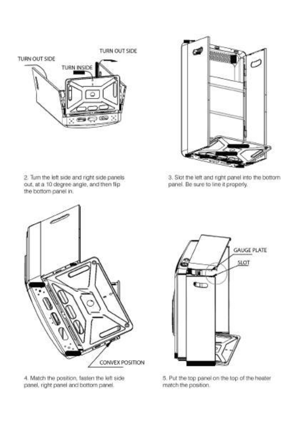

the bottom panel in.



2. Turn the left side and right side panels out, at a 10 degree angle, and then fip

3. Slot the left and right panel into the bottom panel. Be sure to line it properly,



4. Match the position, fasten the left side panel, right panel and bottom panel.



5. Put the top panel on the top of the heater match the position.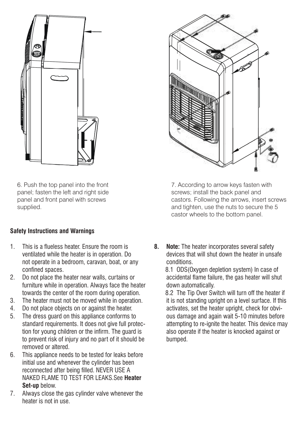

6. Push the top panel into the front panel; fasten the left and right side panel and front panel with screws supplied.

#### **Safety Instructions and Warnings**

- 1. This is a flueless heater. Ensure the room is ventilated while the heater is in operation. Do not operate in a bedroom, caravan, boat, or any confined spaces.
- 2. Do not place the heater near walls, curtains or furniture while in operation. Always face the heater towards the center of the room during operation.
- 3. The heater must not be moved while in operation.
- 4. Do not place objects on or against the heater.
- 5. The dress guard on this appliance conforms to standard requirements. It does not give full protection for young children or the infirm. The guard is to prevent risk of injury and no part of it should be removed or altered.
- 6. This appliance needs to be tested for leaks before initial use and whenever the cylinder has been reconnected after being filled. NEVER USE A NAKED FLAME TO TEST FOR LEAKS.See **Heater Set-up** below.
- 7. Always close the gas cylinder valve whenever the heater is not in use.



7. According to arrow keys fasten with screws; install the back panel and castors. Following the arrows, insert screws and tighten, use the nuts to secure the 5 castor wheels to the bottom panel.

**8. Note:** The heater incorporates several safety devices that will shut down the heater in unsafe conditions.

 8.1 ODS(Oxygen depletion system) In case of accidental flame failure, the gas heater will shut down automatically.

 8.2 The Tip Over Switch will turn off the heater if it is not standing upright on a level surface. If this activates, set the heater upright, check for obvious damage and again wait 5-10 minutes before attempting to re-ignite the heater. This device may also operate if the heater is knocked against or bumped.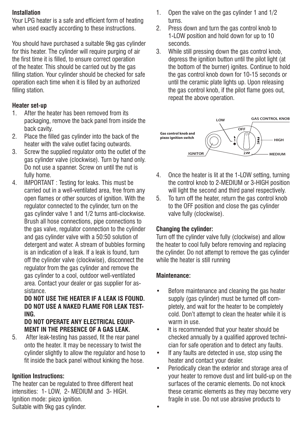#### **Installation**

Your LPG heater is a safe and efficient form of heating when used exactly according to these instructions.

You should have purchased a suitable 9kg gas cylinder for this heater. The cylinder will require purging of air the first time it is filled, to ensure correct operation of the heater. This should be carried out by the gas filling station. Your cylinder should be checked for safe operation each time when it is filled by an authorized filling station.

#### **Heater set-up**

- 1. After the heater has been removed from its packaging, remove the back panel from inside the back cavity.
- 2. Place the filled gas cylinder into the back of the heater with the valve outlet facing outwards.
- 3. Screw the supplied regulator onto the outlet of the gas cylinder valve (clockwise). Turn by hand only. Do not use a spanner. Screw on until the nut is fully home.
- 4. IMPORTANT : Testing for leaks. This must be carried out in a well-ventilated area, free from any open flames or other sources of ignition. With the regulator connected to the cylinder, turn on the gas cylinder valve 1 and 1/2 turns anti-clockwise. Brush all hose connections, pipe connections to the gas valve, regulator connection to the cylinder and gas cylinder valve with a 50:50 solution of detergent and water. A stream of bubbles forming is an indication of a leak. If a leak is found, turn off the cylinder valve (clockwise), disconnect the regulator from the gas cylinder and remove the gas cylinder to a cool, outdoor well-ventilated area. Contact your dealer or gas supplier for assistance.

# **DO NOT USE THE HEATER IF A LEAK IS FOUND. DO NOT USE A NAKED FLAME FOR LEAK TEST-ING.**

#### **DO NOT OPERATE ANY ELECTRICAL EQUIP-MENT IN THE PRESENCE OF A GAS LEAK.**

5. After leak-testing has passed, fit the rear panel onto the heater. It may be necessary to twist the cylinder slightly to allow the regulator and hose to fit inside the back panel without kinking the hose.

# **Ignition Instructions:**

The heater can be regulated to three different heat intensities: 1- LOW, 2- MEDIUM and 3- HIGH. Ignition mode: piezo ignition. Suitable with 9kg gas cylinder.

- 1. Open the valve on the gas cylinder 1 and 1/2 turns.
- 2. Press down and turn the gas control knob to 1-LOW position and hold down for up to 10 seconds.
- 3. While still pressing down the gas control knob, depress the ignition button until the pilot light (at the bottom of the burner) ignites. Continue to hold the gas control knob down for 10-15 seconds or until the ceramic plate lights up. Upon releasing the gas control knob, if the pilot flame goes out, repeat the above operation.



- 4. Once the heater is lit at the 1-LOW setting, turning the control knob to 2-MEDIUM or 3-HIGH position will light the second and third panel respectively.
- 5. To turn off the heater, return the gas control knob to the OFF position and close the gas cylinder valve fully (clockwise).

#### **Changing the cylinder:**

Turn off the cylinder valve fully (clockwise) and allow the heater to cool fully before removing and replacing the cylinder. Do not attempt to remove the gas cylinder while the heater is still running

#### **Maintenance:**

•

- Before maintenance and cleaning the gas heater supply (gas cylinder) must be turned off completely, and wait for the heater to be completely cold. Don't attempt to clean the heater while it is warm in use.
- It is recommended that your heater should be checked annually by a qualified approved technician for safe operation and to detect any faults.
- If any faults are detected in use, stop using the heater and contact your dealer.
- Periodically clean the exterior and storage area of your heater to remove dust and lint build-up on the surfaces of the ceramic elements. Do not knock these ceramic elements as they may become very fragile in use. Do not use abrasive products to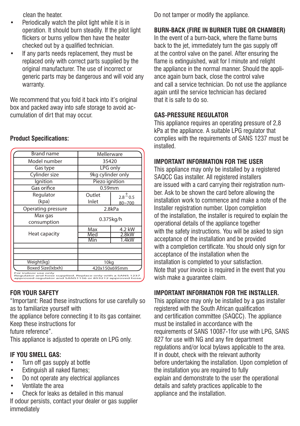clean the heater.

- Periodically watch the pilot light while it is in operation. It should burn steadily. If the pilot light flickers or burns yellow then have the heater checked out by a qualified technician.
- If any parts needs replacement, they must be replaced only with correct parts supplied by the original manufacturer. The use of incorrect or generic parts may be dangerous and will void any warranty.

We recommend that you fold it back into it's original box and packed away into safe storage to avoid accumulation of dirt that may occur.

| <b>Brand name</b>                                                                                                                             | Mellerware        |                |
|-----------------------------------------------------------------------------------------------------------------------------------------------|-------------------|----------------|
| Model number                                                                                                                                  | 35420             |                |
| Gas type                                                                                                                                      | <b>LPG</b> only   |                |
| Cylinder size                                                                                                                                 | 9kg cylinder only |                |
| lgnition                                                                                                                                      | Piezo ignition    |                |
| Gas orifice                                                                                                                                   | $0.59$ mm         |                |
| Regulator                                                                                                                                     | Outlet            | $2.8^{\pm}0.5$ |
| (kpa)                                                                                                                                         | Inlet             | $80 - 700$     |
| Operating pressure                                                                                                                            | 2.8kPa            |                |
| Max gas<br>consumption                                                                                                                        | 0.375kg/h         |                |
| Heat capacity                                                                                                                                 | Max               | 4.2 kW         |
|                                                                                                                                               | Med               | 2.8kW          |
|                                                                                                                                               | Min               | 1.4kW          |
|                                                                                                                                               |                   |                |
|                                                                                                                                               |                   |                |
| Weight(kg)                                                                                                                                    | 10kg              |                |
| Boxed Size(Ixbxh)                                                                                                                             | 420x150x695mm     |                |
| For indoor use only<br>Regulator and hose supplied. Replace only with a SANS 1237<br>approved regulator and SANS1156 or 853212 approved hose. |                   |                |

#### **Product Specifications:**

# **FOR YOUR SAFETY**

"Important: Read these instructions for use carefully so as to familiarize yourself with

the appliance before connecting it to its gas container. Keep these instructions for

future reference"

This appliance is adjusted to operate on LPG only.

# **IF YOU SMELL GAS:**

- Turn off gas supply at bottle
- **Extinguish all naked flames:**
- Do not operate any electrical appliances
- Ventilate the area
- Check for leaks as detailed in this manual

If odour persists, contact your dealer or gas supplier immediately

Do not tamper or modify the appliance.

# **BURN-BACK (FIRE IN BURNER TUBE OR CHAMBER)**

In the event of a burn-back, where the flame burns back to the jet, immediately turn the gas supply off at the control valve on the panel. After ensuring the flame is extinguished, wait for I minute and relight the appliance in the normal manner. Should the appliance again burn back, close the control valve and call a service technician. Do not use the appliance again until the service technician has declared that it is safe to do so.

# **GAS-PRESSURE REGULATOR**

This appliance requires an operating pressure of 2,8 kPa at the appliance. A suitable LPG regulator that complies with the requirements of SANS 1237 must be installed.

# **IMPORTANT INFORMATION FOR THE USER**

This appliance may only be installed by a registered SAQCC Gas installer. All registered installers are issued with a card carrying their registration number. Ask to be shown the card before allowing the installation work to commence and make a note of the Installer registration number. Upon completion of the installation, the installer is required to explain the operational details of the appliance together with the safety instructions. You will be asked to sign acceptance of the installation and be provided with a completion certificate. You should only sign for acceptance of the installation when the installation is completed to your satisfaction. Note that your invoice is required in the event that you wish make a guarantee claim.

# **IMPORTANT INFORMATION FOR THE INSTALLER.**

This appliance may only be installed by a gas installer registered with the South African qualification and certification committee (SAQCC). The appliance must be installed in accordance with the requirements of SANS 10087-1for use with LPG, SANS 827 for use with NG and any fire department regulations and/or local bylaws applicable to the area. If in doubt, check with the relevant authority before undertaking the installation. Upon completion of the installation you are required to fully explain and demonstrate to the user the operational details and safety practices applicable to the appliance and the installation.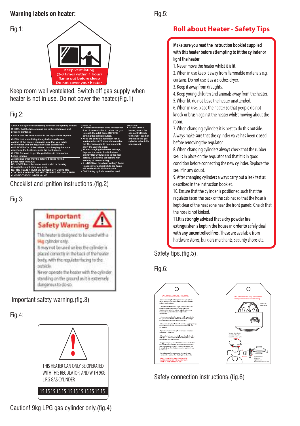#### **Warning labels on heater:**

Fig.1:



Keep room well ventelated. Switch off gas supply when heater is not in use. Do not cover the heater.(Fig.1)

Fig.2:



Checklist and ignition instructions.(fig.2)

Fig.3:



Important safety warning.(fig.3)

Fig.4:



Caution! 9kg LPG gas cylinder only.(fig.4)

# **Roll about Heater - Safety Tips**

Make sure you read the instruction booklet supplied with this heater before attempting to fit the cylinder or light the heater

1. Never move the heater whilst it is lit.

2. When in use keep it away from flammable materials e.g. curtains. Do not use it as a clothes drver.

3. Keep it away from draughts.

4. Keep young children and animals away from the heater.

5. When lit, do not leave the heater unattended.

6. When in use, place the heater so that people do not knock or brush against the heater whilst moving about the room.

7. When changing cylinders it is best to do this outside. Always make sure that the cylinder valve has been closed before removing the regulator.

8. When changing cylinders always check that the rubber seal is in place on the regulator and that it is in good condition before connecting the new cylinder. Replace the seal if in any doubt.

9. After changing cylinders always carry out a leak test as described in the instruction booklet.

10. Ensure that the cylinder is positioned such that the regulator faces the back of the cabinet so that the hose is kept clear of the heat zone near the front panels. Che ck that the hose is not kinked.

11. It is strongly advised that a dry powder fire extinguisher is kept in the house in order to safely deal with any uncontrolled fires. These are available from hardware stores, builders merchants, security shops etc.

Safety tips.(fig.5).

Fig.6:



Safety connection instructions.(fig.6)

Fig.5: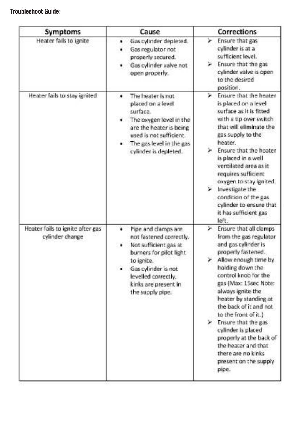# **Troubleshoot Guide:**

| Symptoms                                            | Cause                                                                                                                                                                                                           | <b>Corrections</b>                                                                                                                                                                                                                                                                                                                                                                                                                                        |
|-----------------------------------------------------|-----------------------------------------------------------------------------------------------------------------------------------------------------------------------------------------------------------------|-----------------------------------------------------------------------------------------------------------------------------------------------------------------------------------------------------------------------------------------------------------------------------------------------------------------------------------------------------------------------------------------------------------------------------------------------------------|
| Heater fails to ignite                              | Gas cylinder depleted.<br>Gas regulator not<br>¥.<br>properly secured.<br>Gas cylinder valve not<br>open properly.                                                                                              | Ensure that gas<br>➤<br>cylinder is at a<br>sufficient level.<br>Ensure that the gas<br>cylinder valve is open<br>to the desired<br>position.                                                                                                                                                                                                                                                                                                             |
| Heater fails to stay ignited                        | The heater is not<br>٠<br>placed on a level.<br>surface.<br>The oxygen level in the<br>are the heater is being<br>used is not sufficient.<br>The gas level in the gas<br>cylinder is depleted.                  | Ensure that the heater<br>×<br>is placed on a level<br>surface as it is fitted<br>with a tip over switch<br>that will eliminate the<br>gas supply to the<br>heater.<br>Ensure that the heater<br>is placed in a well<br>ventilated area as it<br>requires sufficient<br>oxygen to stay ignited.<br>Investigate the<br>condition of the gas<br>cylinder to ensure that<br>it has sufficient gas<br>left.                                                   |
| Heater fails to ignite after gas<br>cylinder change | Pipe and clamps are<br>٠<br>not fastened correctly.<br>Not sufficient gas at<br>burners for pilot light<br>to ignite.<br>Gas cylinder is not<br>levelled correctly,<br>kinks are present in<br>the supply pipe. | Ensure that all clamps<br>w.<br>from the gas regulator<br>and gas cylinder is<br>properly fastened.<br>Allow enough time by<br>holding down the<br>control knob for the<br>gas (Max: 15sec Note:<br>always ignite the<br>heater by standing at<br>the back of it and not<br>to the front of it.)<br>> Ensure that the gas<br>cylinder is placed<br>properly at the back of<br>the heater and that<br>there are no kinks<br>present on the supply<br>pipe. |